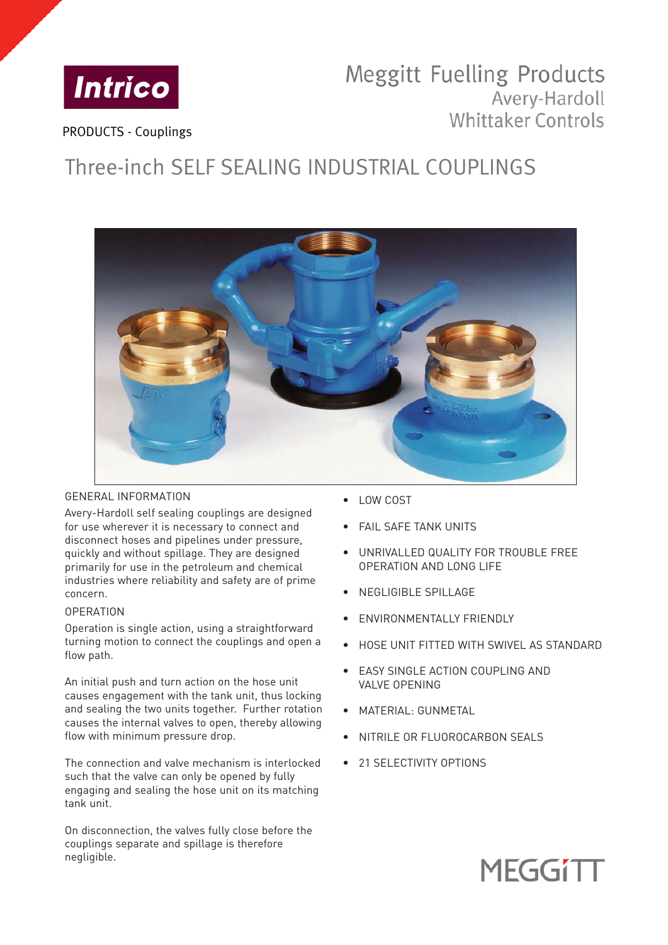

## **Meggitt Fuelling Products** Avery-Hardoll **Whittaker Controls**

PRODUCTS - Couplings

# Three-inch SELF SEALING INDUSTRIAL COUPLINGS



## GENERAL INFORMATION

Avery-Hardoll self sealing couplings are designed for use wherever it is necessary to connect and disconnect hoses and pipelines under pressure, quickly and without spillage. They are designed primarily for use in the petroleum and chemical industries where reliability and safety are of prime concern.

## **OPERATION**

Operation is single action, using a straightforward turning motion to connect the couplings and open a flow path.

An initial push and turn action on the hose unit causes engagement with the tank unit, thus locking and sealing the two units together. Further rotation causes the internal valves to open, thereby allowing flow with minimum pressure drop.

The connection and valve mechanism is interlocked such that the valve can only be opened by fully engaging and sealing the hose unit on its matching tank unit.

On disconnection, the valves fully close before the couplings separate and spillage is therefore negligible.

- LOW COST
- **FAIL SAFE TANK UNITS**
- UNRIVALLED QUALITY FOR TROUBLE FREE OPERATION AND LONG LIFE
- NEGLIGIBLE SPILLAGE
- ENVIRONMENTALLY FRIENDLY
- HOSE UNIT FITTED WITH SWIVEL AS STANDARD
- EASY SINGLE ACTION COUPLING AND VALVE OPENING
- MATERIAL: GUNMETAL
- NITRILE OR FLUOROCARBON SEALS
- 21 SELECTIVITY OPTIONS